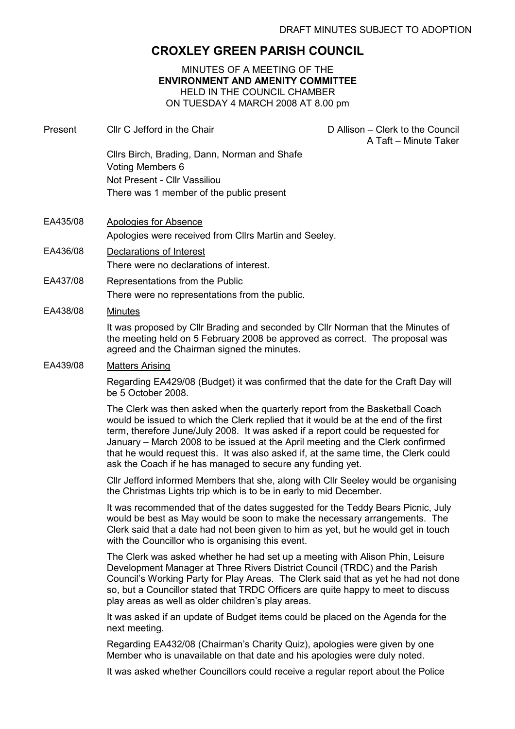# CROXLEY GREEN PARISH COUNCIL

#### MINUTES OF A MEETING OF THE ENVIRONMENT AND AMENITY COMMITTEE HELD IN THE COUNCIL CHAMBER ON TUESDAY 4 MARCH 2008 AT 8.00 pm

- Present Cllr C Jefford in the Chair D Allison Clerk to the Council A Taft – Minute Taker Cllrs Birch, Brading, Dann, Norman and Shafe Voting Members 6 Not Present - Cllr Vassiliou There was 1 member of the public present
- EA435/08 Apologies for Absence Apologies were received from Cllrs Martin and Seeley.
- EA436/08 Declarations of Interest There were no declarations of interest.
- EA437/08 Representations from the Public There were no representations from the public.

#### EA438/08 Minutes

It was proposed by Cllr Brading and seconded by Cllr Norman that the Minutes of the meeting held on 5 February 2008 be approved as correct. The proposal was agreed and the Chairman signed the minutes.

#### EA439/08 Matters Arising

Regarding EA429/08 (Budget) it was confirmed that the date for the Craft Day will be 5 October 2008.

The Clerk was then asked when the quarterly report from the Basketball Coach would be issued to which the Clerk replied that it would be at the end of the first term, therefore June/July 2008. It was asked if a report could be requested for January – March 2008 to be issued at the April meeting and the Clerk confirmed that he would request this. It was also asked if, at the same time, the Clerk could ask the Coach if he has managed to secure any funding yet.

Cllr Jefford informed Members that she, along with Cllr Seeley would be organising the Christmas Lights trip which is to be in early to mid December.

It was recommended that of the dates suggested for the Teddy Bears Picnic, July would be best as May would be soon to make the necessary arrangements. The Clerk said that a date had not been given to him as yet, but he would get in touch with the Councillor who is organising this event.

The Clerk was asked whether he had set up a meeting with Alison Phin, Leisure Development Manager at Three Rivers District Council (TRDC) and the Parish Council's Working Party for Play Areas. The Clerk said that as yet he had not done so, but a Councillor stated that TRDC Officers are quite happy to meet to discuss play areas as well as older children's play areas.

It was asked if an update of Budget items could be placed on the Agenda for the next meeting.

Regarding EA432/08 (Chairman's Charity Quiz), apologies were given by one Member who is unavailable on that date and his apologies were duly noted.

It was asked whether Councillors could receive a regular report about the Police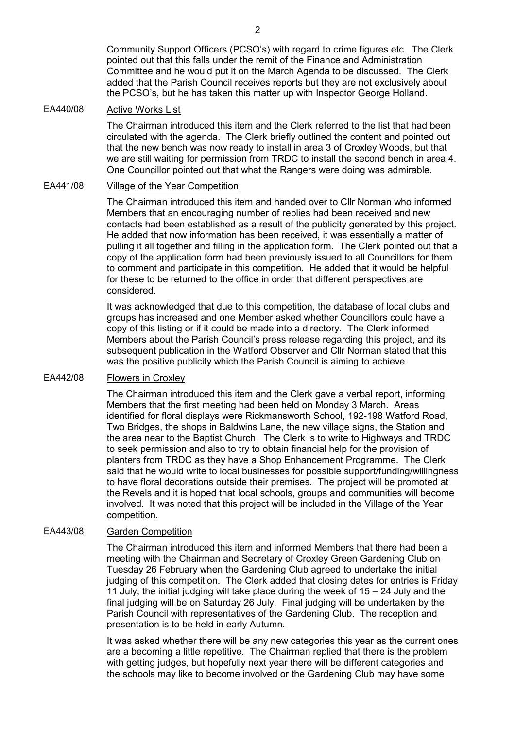Community Support Officers (PCSO's) with regard to crime figures etc. The Clerk pointed out that this falls under the remit of the Finance and Administration Committee and he would put it on the March Agenda to be discussed. The Clerk added that the Parish Council receives reports but they are not exclusively about the PCSO's, but he has taken this matter up with Inspector George Holland.

### EA440/08 Active Works List

The Chairman introduced this item and the Clerk referred to the list that had been circulated with the agenda. The Clerk briefly outlined the content and pointed out that the new bench was now ready to install in area 3 of Croxley Woods, but that we are still waiting for permission from TRDC to install the second bench in area 4. One Councillor pointed out that what the Rangers were doing was admirable.

# EA441/08 Village of the Year Competition

The Chairman introduced this item and handed over to Cllr Norman who informed Members that an encouraging number of replies had been received and new contacts had been established as a result of the publicity generated by this project. He added that now information has been received, it was essentially a matter of pulling it all together and filling in the application form. The Clerk pointed out that a copy of the application form had been previously issued to all Councillors for them to comment and participate in this competition. He added that it would be helpful for these to be returned to the office in order that different perspectives are considered.

It was acknowledged that due to this competition, the database of local clubs and groups has increased and one Member asked whether Councillors could have a copy of this listing or if it could be made into a directory. The Clerk informed Members about the Parish Council's press release regarding this project, and its subsequent publication in the Watford Observer and Cllr Norman stated that this was the positive publicity which the Parish Council is aiming to achieve.

# EA442/08 Flowers in Croxley

The Chairman introduced this item and the Clerk gave a verbal report, informing Members that the first meeting had been held on Monday 3 March. Areas identified for floral displays were Rickmansworth School, 192-198 Watford Road, Two Bridges, the shops in Baldwins Lane, the new village signs, the Station and the area near to the Baptist Church. The Clerk is to write to Highways and TRDC to seek permission and also to try to obtain financial help for the provision of planters from TRDC as they have a Shop Enhancement Programme. The Clerk said that he would write to local businesses for possible support/funding/willingness to have floral decorations outside their premises. The project will be promoted at the Revels and it is hoped that local schools, groups and communities will become involved. It was noted that this project will be included in the Village of the Year competition.

# EA443/08 Garden Competition

The Chairman introduced this item and informed Members that there had been a meeting with the Chairman and Secretary of Croxley Green Gardening Club on Tuesday 26 February when the Gardening Club agreed to undertake the initial judging of this competition. The Clerk added that closing dates for entries is Friday 11 July, the initial judging will take place during the week of 15 – 24 July and the final judging will be on Saturday 26 July. Final judging will be undertaken by the Parish Council with representatives of the Gardening Club. The reception and presentation is to be held in early Autumn.

It was asked whether there will be any new categories this year as the current ones are a becoming a little repetitive. The Chairman replied that there is the problem with getting judges, but hopefully next year there will be different categories and the schools may like to become involved or the Gardening Club may have some